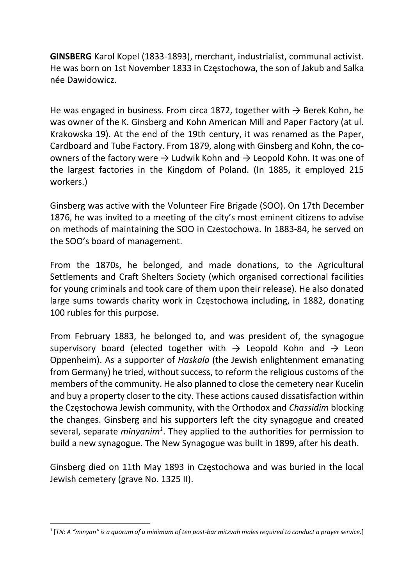GINSBERG Karol Kopel (1833-1893), merchant, industrialist, communal activist. He was born on 1st November 1833 in Częstochowa, the son of Jakub and Salka née Dawidowicz.

He was engaged in business. From circa 1872, together with  $\rightarrow$  Berek Kohn, he was owner of the K. Ginsberg and Kohn American Mill and Paper Factory (at ul. Krakowska 19). At the end of the 19th century, it was renamed as the Paper, Cardboard and Tube Factory. From 1879, along with Ginsberg and Kohn, the coowners of the factory were  $\rightarrow$  Ludwik Kohn and  $\rightarrow$  Leopold Kohn. It was one of the largest factories in the Kingdom of Poland. (In 1885, it employed 215 workers.)

Ginsberg was active with the Volunteer Fire Brigade (SOO). On 17th December 1876, he was invited to a meeting of the city's most eminent citizens to advise on methods of maintaining the SOO in Czestochowa. In 1883-84, he served on the SOO's board of management.

From the 1870s, he belonged, and made donations, to the Agricultural Settlements and Craft Shelters Society (which organised correctional facilities for young criminals and took care of them upon their release). He also donated large sums towards charity work in Częstochowa including, in 1882, donating 100 rubles for this purpose.

From February 1883, he belonged to, and was president of, the synagogue supervisory board (elected together with  $\rightarrow$  Leopold Kohn and  $\rightarrow$  Leon Oppenheim). As a supporter of Haskala (the Jewish enlightenment emanating from Germany) he tried, without success, to reform the religious customs of the members of the community. He also planned to close the cemetery near Kucelin and buy a property closer to the city. These actions caused dissatisfaction within the Częstochowa Jewish community, with the Orthodox and Chassidim blocking the changes. Ginsberg and his supporters left the city synagogue and created several, separate  $minyanim<sup>1</sup>$ . They applied to the authorities for permission to build a new synagogue. The New Synagogue was built in 1899, after his death.

Ginsberg died on 11th May 1893 in Częstochowa and was buried in the local Jewish cemetery (grave No. 1325 II).

<sup>1</sup> [TN: A "minyan" is a quorum of a minimum of ten post-bar mitzvah males required to conduct a prayer service.]